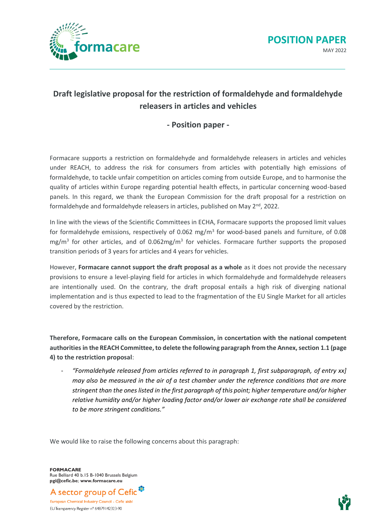



## **Draft legislative proposal for the restriction of formaldehyde and formaldehyde releasers in articles and vehicles**

## **- Position paper -**

Formacare supports a restriction on formaldehyde and formaldehyde releasers in articles and vehicles under REACH, to address the risk for consumers from articles with potentially high emissions of formaldehyde, to tackle unfair competition on articles coming from outside Europe, and to harmonise the quality of articles within Europe regarding potential health effects, in particular concerning wood-based panels. In this regard, we thank the European Commission for the draft proposal for a restriction on formaldehyde and formaldehyde releasers in articles, published on May  $2^{nd}$ , 2022.

In line with the views of the Scientific Committees in ECHA, Formacare supports the proposed limit values for formaldehyde emissions, respectively of 0.062 mg/m<sup>3</sup> for wood-based panels and furniture, of 0.08 mg/m<sup>3</sup> for other articles, and of 0.062mg/m<sup>3</sup> for vehicles. Formacare further supports the proposed transition periods of 3 years for articles and 4 years for vehicles.

However, **Formacare cannot support the draft proposal as a whole** as it does not provide the necessary provisions to ensure a level-playing field for articles in which formaldehyde and formaldehyde releasers are intentionally used. On the contrary, the draft proposal entails a high risk of diverging national implementation and is thus expected to lead to the fragmentation of the EU Single Market for all articles covered by the restriction.

**Therefore, Formacare calls on the European Commission, in concertation with the national competent authorities in the REACH Committee, to delete the following paragraph from the Annex,section 1.1 (page 4) to the restriction proposal**:

- *"Formaldehyde released from articles referred to in paragraph 1, first subparagraph, of entry xx] may also be measured in the air of a test chamber under the reference conditions that are more stringent than the ones listed in the first paragraph of this point; higher temperature and/or higher relative humidity and/or higher loading factor and/or lower air exchange rate shall be considered to be more stringent conditions."*

We would like to raise the following concerns about this paragraph:

**FORMACARE** Rue Belliard 40 b.15 B-1040 Brussels Belgium **pgi@cefic.be**; **www.formacare.eu**